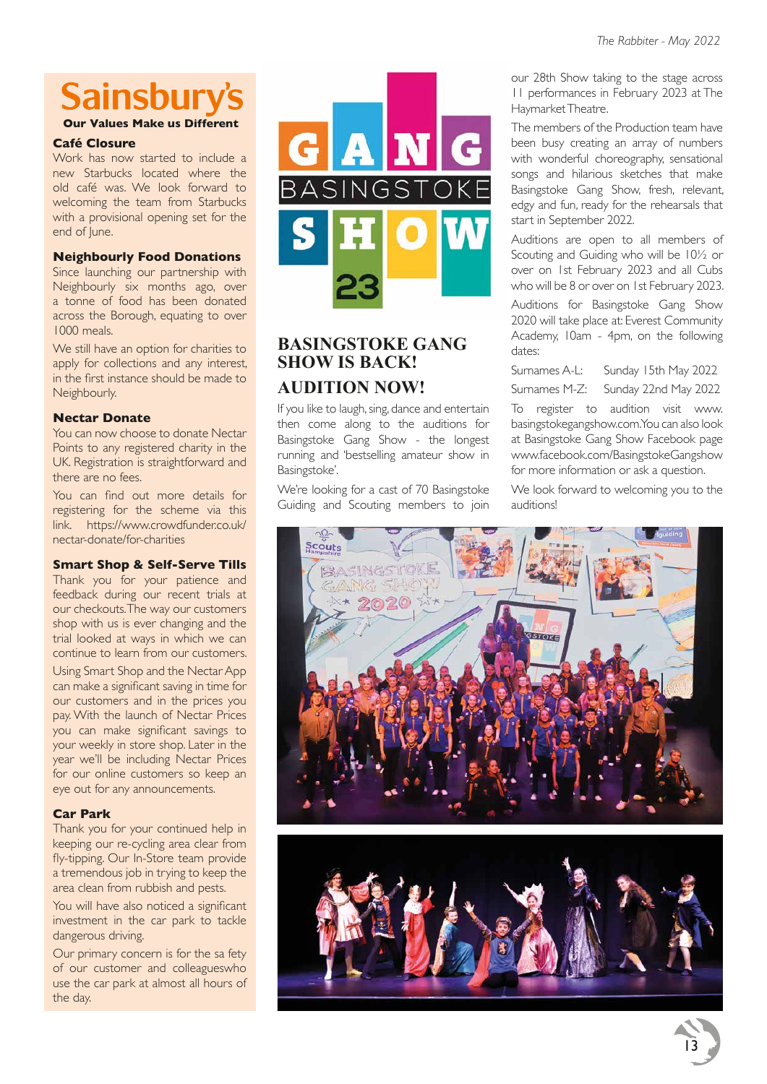# **Sainsburv's**

**Our Values Make us Different**

#### **Café Closure**

Work has now started to include a new Starbucks located where the old café was. We look forward to welcoming the team from Starbucks with a provisional opening set for the end of June.

#### **Neighbourly Food Donations**

Since launching our partnership with Neighbourly six months ago, over a tonne of food has been donated across the Borough, equating to over 1000 meals.

We still have an option for charities to apply for collections and any interest, in the first instance should be made to Neighbourly.

#### **Nectar Donate**

You can now choose to donate Nectar Points to any registered charity in the UK. Registration is straightforward and there are no fees.

You can find out more details for registering for the scheme via this link. https://www.crowdfunder.co.uk/ nectar-donate/for-charities

#### **Smart Shop & Self-Serve Tills**

Thank you for your patience and feedback during our recent trials at our checkouts. The way our customers shop with us is ever changing and the trial looked at ways in which we can continue to learn from our customers.

Using Smart Shop and the Nectar App can make a significant saving in time for our customers and in the prices you pay. With the launch of Nectar Prices you can make significant savings to your weekly in store shop. Later in the year we'll be including Nectar Prices for our online customers so keep an eye out for any announcements.

#### **Car Park**

Thank you for your continued help in keeping our re-cycling area clear from fly-tipping. Our In-Store team provide a tremendous job in trying to keep the area clean from rubbish and pests.

You will have also noticed a significant investment in the car park to tackle dangerous driving.

Our primary concern is for the sa fety of our customer and colleagueswho use the car park at almost all hours of the day.



# **BASINGSTOKE GANG SHOW IS BACK! AUDITION NOW!**

If you like to laugh, sing, dance and entertain then come along to the auditions for Basingstoke Gang Show - the longest running and 'bestselling amateur show in Basingstoke'.

We're looking for a cast of 70 Basingstoke Guiding and Scouting members to join our 28th Show taking to the stage across 11 performances in February 2023 at The Haymarket Theatre.

The members of the Production team have been busy creating an array of numbers with wonderful choreography, sensational songs and hilarious sketches that make Basingstoke Gang Show, fresh, relevant, edgy and fun, ready for the rehearsals that start in September 2022.

Auditions are open to all members of Scouting and Guiding who will be 10½ or over on 1st February 2023 and all Cubs who will be 8 or over on 1st February 2023.

Auditions for Basingstoke Gang Show 2020 will take place at: Everest Community Academy, 10am - 4pm, on the following dates:

Surnames A-L: Sunday 15th May 2022

Surnames M-Z: Sunday 22nd May 2022

To register to audition visit www. basingstokegangshow.com. You can also look at Basingstoke Gang Show Facebook page www.facebook.com/BasingstokeGangshow for more information or ask a question.

We look forward to welcoming you to the auditions!